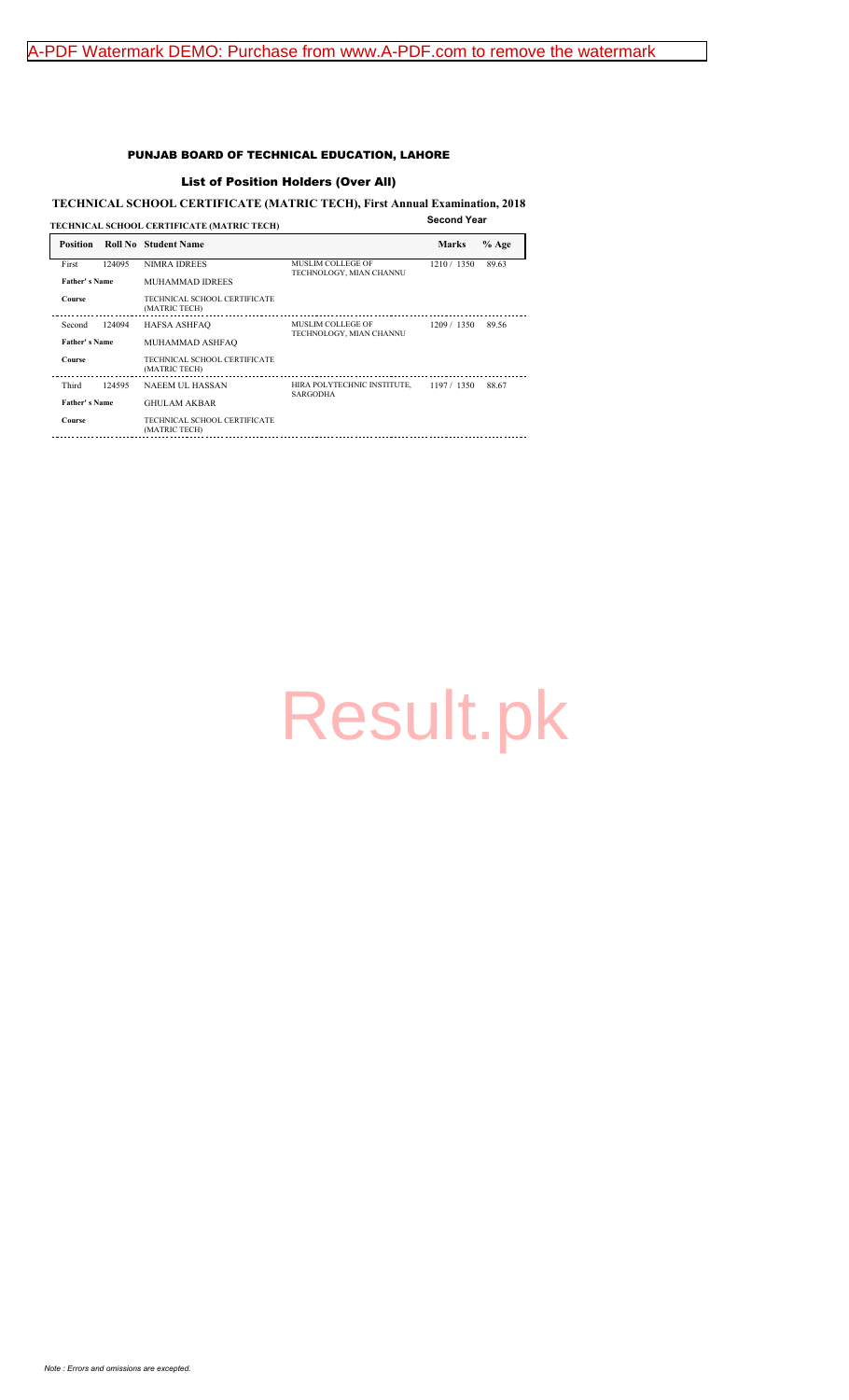#### PUNJAB BOARD OF TECHNICAL EDUCATION, LAHORE

#### List of Position Holders (Over All)

### **TECHNICAL SCHOOL CERTIFICATE (MATRIC TECH), First Annual Examination, 2018**

| TECHNICAL SCHOOL CERTIFICATE (MATRIC TECH) |        |                                               |                                        |              | <b>Second Year</b> |  |
|--------------------------------------------|--------|-----------------------------------------------|----------------------------------------|--------------|--------------------|--|
| <b>Position</b>                            |        | <b>Roll No</b> Student Name                   |                                        | <b>Marks</b> | $%$ Age            |  |
| First                                      | 124095 | <b>NIMRA IDREES</b>                           | <b>MUSLIM COLLEGE OF</b>               | 1210 / 1350  | 89.63              |  |
| Father's Name                              |        | <b>MUHAMMAD IDREES</b>                        | TECHNOLOGY, MIAN CHANNU                |              |                    |  |
| Course                                     |        | TECHNICAL SCHOOL CERTIFICATE<br>(MATRIC TECH) |                                        |              |                    |  |
| Second                                     | 124094 | <b>HAFSA ASHFAO</b>                           | MUSLIM COLLEGE OF                      | 1209 / 1350  | 89.56              |  |
| Father's Name                              |        | MUHAMMAD ASHFAQ                               | TECHNOLOGY, MIAN CHANNU                |              |                    |  |
| <b>Course</b>                              |        | TECHNICAL SCHOOL CERTIFICATE<br>(MATRIC TECH) |                                        |              |                    |  |
| Third                                      | 124595 | NAEEM UL HASSAN                               | HIRA POLYTECHNIC INSTITUTE, 197 / 1350 |              | 88.67              |  |
| Father's Name                              |        | <b>GHULAM AKBAR</b>                           | <b>SARGODHA</b>                        |              |                    |  |
| <b>Course</b>                              |        | TECHNICAL SCHOOL CERTIFICATE<br>(MATRIC TECH) |                                        |              |                    |  |
|                                            |        |                                               |                                        |              |                    |  |

# [Result.pk](http://www.result.pk/)